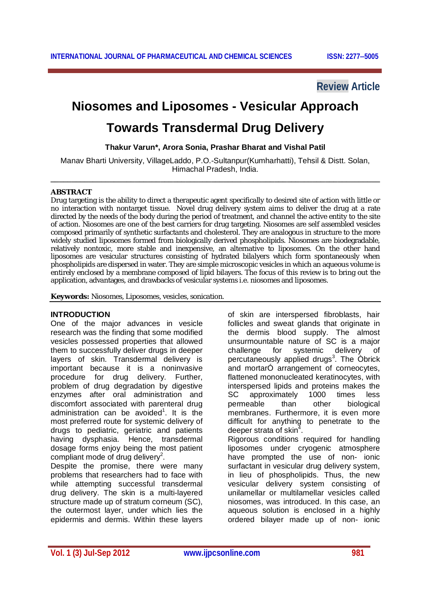# **Review Article**

# **Niosomes and Liposomes - Vesicular Approach**

# **Towards Transdermal Drug Delivery**

**Thakur Varun\*, Arora Sonia, Prashar Bharat and Vishal Patil**

Manav Bharti University, VillageLaddo, P.O.-Sultanpur(Kumharhatti), Tehsil & Distt. Solan, Himachal Pradesh, India. **\_\_\_\_\_\_\_\_\_\_\_\_\_\_\_\_\_\_\_\_\_\_\_\_\_\_\_\_\_\_\_\_\_\_\_\_\_\_\_\_\_\_\_\_\_\_\_\_\_\_\_\_\_\_\_\_\_\_\_\_\_\_\_\_\_\_\_\_\_\_\_\_\_\_\_\_\_\_**

#### **ABSTRACT**

Drug targeting is the ability to direct a therapeutic agent specifically to desired site of action with little or no interaction with nontarget tissue. Novel drug delivery system aims to deliver the drug at a rate directed by the needs of the body during the period of treatment, and channel the active entity to the site of action. Niosomes are one of the best carriers for drug targeting. Niosomes are self assembled vesicles composed primarily of synthetic surfactants and cholesterol. They are analogous in structure to the more widely studied liposomes formed from biologically derived phospholipids. Niosomes are biodegradable, relatively nontoxic, more stable and inexpensive, an alternative to liposomes. On the other hand liposomes are vesicular structures consisting of hydrated bilalyers which form spontaneously when phospholipids are dispersed in water. They are simple microscopic vesicles in which an aqueous volume is entirely enclosed by a membrane composed of lipid bilayers. The focus of this review is to bring out the application, advantages, and drawbacks of vesicular systems i.e. niosomes and liposomes.

**Keywords:** Niosomes, Liposomes, vesicles, sonication.

#### **INTRODUCTION**

One of the major advances in vesicle research was the finding that some modified vesicles possessed properties that allowed them to successfully deliver drugs in deeper layers of skin. Transdermal delivery is important because it is a noninvasive procedure for drug delivery. Further, problem of drug degradation by digestive enzymes after oral administration and discomfort associated with parenteral drug administration can be avoided<sup>1</sup>. It is the most preferred route for systemic delivery of drugs to pediatric, geriatric and patients having dysphasia. Hence, transdermal dosage forms enjoy being the most patient compliant mode of drug delivery<sup>2</sup>.

Despite the promise, there were many problems that researchers had to face with while attempting successful transdermal drug delivery. The skin is a multi-layered structure made up of stratum corneum (SC), the outermost layer, under which lies the epidermis and dermis. Within these layers

of skin are interspersed fibroblasts, hair follicles and sweat glands that originate in the dermis blood supply. The almost unsurmountable nature of SC is a major challenge for systemic delivery of percutaneously applied drugs<sup>3</sup>. The Obrick and mortarÓ arrangement of corneocytes, flattened mononucleated keratinocytes, with interspersed lipids and proteins makes the SC approximately 1000 times less permeable than other biological membranes. Furthermore, it is even more difficult for anything to penetrate to the deeper strata of skin $^4$ . Rigorous conditions required for handling liposomes under cryogenic atmosphere have prompted the use of non- ionic surfactant in vesicular drug delivery system, in lieu of phospholipids. Thus, the new vesicular delivery system consisting of unilamellar or multilamellar vesicles called niosomes, was introduced. In this case, an aqueous solution is enclosed in a highly ordered bilayer made up of non- ionic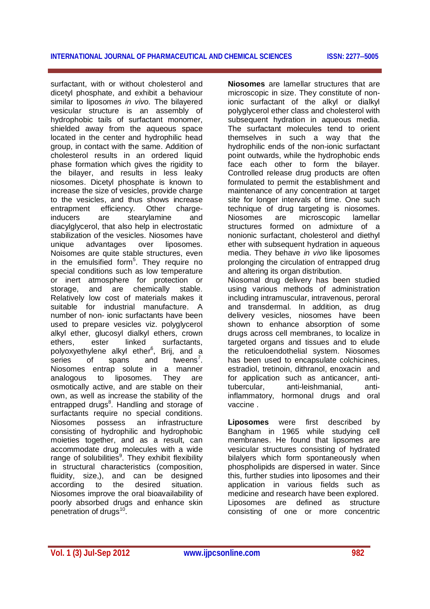surfactant, with or without cholesterol and dicetyl phosphate, and exhibit a behaviour similar to liposomes *in vivo.* The bilayered vesicular structure is an assembly of hydrophobic tails of surfactant monomer, shielded away from the aqueous space located in the center and hydrophilic head group, in contact with the same. Addition of cholesterol results in an ordered liquid phase formation which gives the rigidity to the bilayer, and results in less leaky niosomes. Dicetyl phosphate is known to increase the size of vesicles, provide charge to the vesicles, and thus shows increase entrapment efficiency. Other charge-<br>
inducers are stearylamine and are stearylamine and diacylglycerol, that also help in electrostatic stabilization of the vesicles. Niosomes have unique advantages over liposomes. Noisomes are quite stable structures, even in the emulsified form<sup>5</sup>. They require no special conditions such as low temperature or inert atmosphere for protection or storage, and are chemically stable. Relatively low cost of materials makes it suitable for industrial manufacture. A number of non- ionic surfactants have been used to prepare vesicles viz. polyglycerol alkyl ether, glucosyl dialkyl ethers, crown ethers, ester linked surfactants, polyoxyethylene alkyl ether<sup>6</sup>, Brij, and a series of spans and tweens<sup>7</sup>. Niosomes entrap solute in a manner analogous to liposomes. They are osmotically active, and are stable on their own, as well as increase the stability of the entrapped drugs<sup>8</sup>. Handling and storage of surfactants require no special conditions. Niosomes possess an infrastructure consisting of hydrophilic and hydrophobic moieties together, and as a result, can accommodate drug molecules with a wide range of solubilities<sup>9</sup>. They exhibit flexibility in structural characteristics (composition, fluidity, size,), and can be designed according to the desired situation. Niosomes improve the oral bioavailability of poorly absorbed drugs and enhance skin penetration of drugs<sup>10</sup>.

**Niosomes** are lamellar structures that are microscopic in size. They constitute of nonionic surfactant of the alkyl or dialkyl polyglycerol ether class and cholesterol with subsequent hydration in aqueous media. The surfactant molecules tend to orient themselves in such a way that the hydrophilic ends of the non-ionic surfactant point outwards, while the hydrophobic ends face each other to form the bilayer. Controlled release drug products are often formulated to permit the establishment and maintenance of any concentration at target site for longer intervals of time. One such technique of drug targeting is niosomes.<br>Niosomes are microscopic lamellar are microscopic structures formed on admixture of a nonionic surfactant, cholesterol and diethyl ether with subsequent hydration in aqueous media. They behave *in vivo* like liposomes prolonging the circulation of entrapped drug and altering its organ distribution. Niosomal drug delivery has been studied using various methods of administration including intramuscular, intravenous, peroral and transdermal. In addition, as drug delivery vesicles, niosomes have been shown to enhance absorption of some drugs across cell membranes, to localize in targeted organs and tissues and to elude the reticuloendothelial system. Niosomes has been used to encapsulate colchicines, estradiol, tretinoin, dithranol, enoxacin and for application such as anticancer, antitubercular, anti-leishmanial, antiinflammatory, hormonal drugs and oral vaccine .

**Liposomes** were first described by Bangham in 1965 while studying cell membranes. He found that lipsomes are vesicular structures consisting of hydrated bilalyers which form spontaneously when phospholipids are dispersed in water. Since this, further studies into liposomes and their application in various fields such as medicine and research have been explored. Liposomes are defined as structure consisting of one or more concentric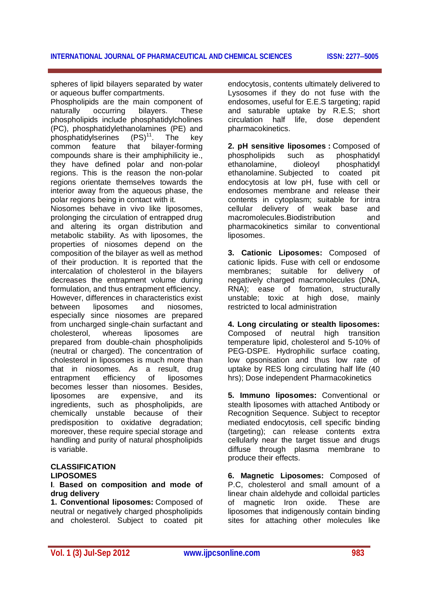spheres of lipid bilayers separated by water or aqueous buffer compartments.

Phospholipids are the main component of naturally occurring bilayers. These phospholipids include phosphatidylcholines (PC), phosphatidylethanolamines (PE) and phosphatidylserines  $(PS)^{11}$ . The key common feature that bilayer-forming compounds share is their amphiphilicity ie., they have defined polar and non-polar regions. This is the reason the non-polar regions orientate themselves towards the interior away from the aqueous phase, the polar regions being in contact with it.

Niosomes behave in vivo like liposomes, prolonging the circulation of entrapped drug and altering its organ distribution and metabolic stability. As with liposomes, the properties of niosomes depend on the composition of the bilayer as well as method of their production. It is reported that the intercalation of cholesterol in the bilayers decreases the entrapment volume during formulation, and thus entrapment efficiency. However, differences in characteristics exist between liposomes and niosomes, especially since niosomes are prepared from uncharged single-chain surfactant and cholesterol, whereas liposomes are prepared from double-chain phospholipids (neutral or charged). The concentration of cholesterol in liposomes is much more than that in niosomes. As a result, drug entrapment efficiency of liposomes becomes lesser than niosomes. Besides, liposomes are expensive, and its ingredients, such as phospholipids, are chemically unstable because of their predisposition to oxidative degradation; moreover, these require special storage and handling and purity of natural phospholipids is variable.

#### **CLASSIFICATION LIPOSOMES**

#### **I**. **Based on composition and mode of drug delivery**

**1. Conventional liposomes:** Composed of neutral or negatively charged phospholipids and cholesterol. Subject to coated pit

endocytosis, contents ultimately delivered to Lysosomes if they do not fuse with the endosomes, useful for E.E.S targeting; rapid and saturable uptake by R.E.S; short circulation half life, dose dependent pharmacokinetics.

**2. pH sensitive liposomes :** Composed of phospholipids such as phosphatidyl ethanolamine, dioleoyl phosphatidyl ethanolamine. Subjected to coated pit endocytosis at low pH, fuse with cell or endosomes membrane and release their contents in cytoplasm; suitable for intra cellular delivery of weak base and macromolecules.Biodistribution and pharmacokinetics similar to conventional liposomes.

**3. Cationic Liposomes:** Composed of cationic lipids. Fuse with cell or endosome membranes; suitable for delivery of negatively charged macromolecules (DNA, RNA); ease of formation, structurally unstable; toxic at high dose, mainly restricted to local administration

**4. Long circulating or stealth liposomes:** Composed of neutral high transition temperature lipid, cholesterol and 5-10% of PEG-DSPE. Hydrophilic surface coating, low opsonisation and thus low rate of uptake by RES long circulating half life (40 hrs); Dose independent Pharmacokinetics

**5. Immuno liposomes:** Conventional or stealth liposomes with attached Antibody or Recognition Sequence. Subject to receptor mediated endocytosis, cell specific binding (targeting); can release contents extra cellularly near the target tissue and drugs diffuse through plasma membrane to produce their effects.

**6. Magnetic Liposomes:** Composed of P.C, cholesterol and small amount of a linear chain aldehyde and colloidal particles of magnetic Iron oxide. These are liposomes that indigenously contain binding sites for attaching other molecules like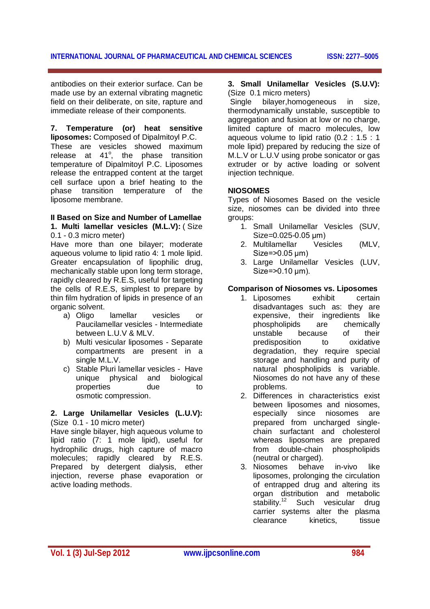antibodies on their exterior surface. Can be made use by an external vibrating magnetic field on their deliberate, on site, rapture and immediate release of their components.

# **7. Temperature (or) heat sensitive**

**liposomes:** Composed of Dipalmitoyl P.C. These are vesicles showed maximum release at  $41^\circ$ , the phase transition temperature of Dipalmitoyl P.C. Liposomes release the entrapped content at the target cell surface upon a brief heating to the phase transition temperature of the liposome membrane.

# **II Based on Size and Number of Lamellae**

**1. Multi lamellar vesicles (M.L.V):** ( Size 0.1 - 0.3 micro meter)

Have more than one bilayer; moderate aqueous volume to lipid ratio 4: 1 mole lipid. Greater encapsulation of lipophilic drug, mechanically stable upon long term storage, rapidly cleared by R.E.S, useful for targeting the cells of R.E.S, simplest to prepare by thin film hydration of lipids in presence of an organic solvent.

- a) Oligo lamellar vesicles or Paucilamellar vesicles - Intermediate between L.U.V & MLV.
- b) Multi vesicular liposomes Separate compartments are present in a single M.L.V.
- c) Stable Pluri lamellar vesicles Have unique physical and biological properties due to osmotic compression.

#### **2. Large Unilamellar Vesicles (L.U.V):** (Size 0.1 - 10 micro meter)

Have single bilayer, high aqueous volume to lipid ratio (7: 1 mole lipid), useful for hydrophilic drugs, high capture of macro molecules; rapidly cleared by R.E.S. Prepared by detergent dialysis, ether injection, reverse phase evaporation or active loading methods.

#### **3. Small Unilamellar Vesicles (S.U.V):** (Size 0.1 micro meters)

Single bilayer,homogeneous in size, thermodynamically unstable, susceptible to aggregation and fusion at low or no charge. limited capture of macro molecules, low aqueous volume to lipid ratio (0.2 : 1.5 : 1 mole lipid) prepared by reducing the size of M.L.V or L.U.V using probe sonicator or gas extruder or by active loading or solvent injection technique.

#### **NIOSOMES**

Types of Niosomes Based on the vesicle size, niosomes can be divided into three groups:

- 1. Small Unilamellar Vesicles (SUV, Size=0.025-0.05 μm)
- 2. Multilamellar Vesicles (MLV, Size=>0.05 μm)
- 3. Large Unilamellar Vesicles (LUV, Size=>0.10 μm).

### **Comparison of Niosomes vs. Liposomes**

- 1. Liposomes exhibit certain disadvantages such as: they are expensive, their ingredients like phospholipids are chemically unstable because of their predisposition to oxidative degradation, they require special storage and handling and purity of natural phospholipids is variable. Niosomes do not have any of these problems.
- 2. Differences in characteristics exist between liposomes and niosomes, especially since niosomes are prepared from uncharged singlechain surfactant and cholesterol whereas liposomes are prepared from double-chain phospholipids (neutral or charged).
- 3. Niosomes behave in-vivo like liposomes, prolonging the circulation of entrapped drug and altering its organ distribution and metabolic stability.<sup>12</sup> Such vesicular drug carrier systems alter the plasma clearance kinetics, tissue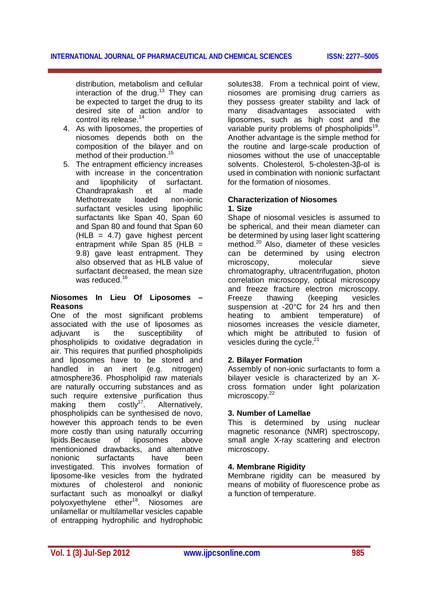distribution, metabolism and cellular interaction of the drug.<sup>13</sup> They can be expected to target the drug to its desired site of action and/or to control its release.<sup>14</sup>

- 4. As with liposomes, the properties of niosomes depends both on the composition of the bilayer and on method of their production.<sup>15</sup>
- 5. The entrapment efficiency increases with increase in the concentration and lipophilicity of surfactant. Chandraprakash et al made Methotrexate loaded non-ionic surfactant vesicles using lipophilic surfactants like Span 40, Span 60 and Span 80 and found that Span 60  $(HLB = 4.7)$  gave highest percent entrapment while Span 85 (HLB = 9.8) gave least entrapment. They also observed that as HLB value of surfactant decreased, the mean size was reduced.<sup>16</sup>

#### **Niosomes In Lieu Of Liposomes – Reasons**

One of the most significant problems associated with the use of liposomes as adjuvant is the susceptibility of phospholipids to oxidative degradation in air. This requires that purified phospholipids and liposomes have to be stored and handled in an inert (e.g. nitrogen) atmosphere36. Phospholipid raw materials are naturally occurring substances and as such require extensive purification thus making them costly<sup>17</sup>. Alternatively, phospholipids can be synthesised de novo, however this approach tends to be even more costly than using naturally occurring lipids.Because of liposomes above mentionioned drawbacks, and alternative nonionic surfactants have been investigated. This involves formation of liposome-like vesicles from the hydrated mixtures of cholesterol and nonionic surfactant such as monoalkyl or dialkyl polyoxyethylene ether<sup>18</sup>. Niosomes are unilamellar or multilamellar vesicles capable of entrapping hydrophilic and hydrophobic

solutes38. From a technical point of view, niosomes are promising drug carriers as they possess greater stability and lack of<br>many disadvantages associated with many disadvantages associated with liposomes, such as high cost and the variable purity problems of phospholipids<sup>19</sup>. Another advantage is the simple method for the routine and large-scale production of niosomes without the use of unacceptable solvents. Cholesterol, 5-cholesten-3β-ol is used in combination with nonionic surfactant for the formation of niosomes.

#### **Characterization of Niosomes 1. Size**

Shape of niosomal vesicles is assumed to be spherical, and their mean diameter can be determined by using laser light scattering method.<sup>20</sup> Also, diameter of these vesicles can be determined by using electron microscopy. molecular sieve chromatography, ultracentrifugation, photon correlation microscopy, optical microscopy and freeze fracture electron microscopy. Freeze thawing (keeping vesicles suspension at -20°C for 24 hrs and then heating to ambient temperature) of niosomes increases the vesicle diameter, which might be attributed to fusion of vesicles during the cycle. $21$ 

# **2. Bilayer Formation**

Assembly of non-ionic surfactants to form a bilayer vesicle is characterized by an Xcross formation under light polarization microscopy.<sup>22</sup>

#### **3. Number of Lamellae**

This is determined by using nuclear magnetic resonance (NMR) spectroscopy, small angle X-ray scattering and electron microscopy.

#### **4. Membrane Rigidity**

Membrane rigidity can be measured by means of mobility of fluorescence probe as a function of temperature.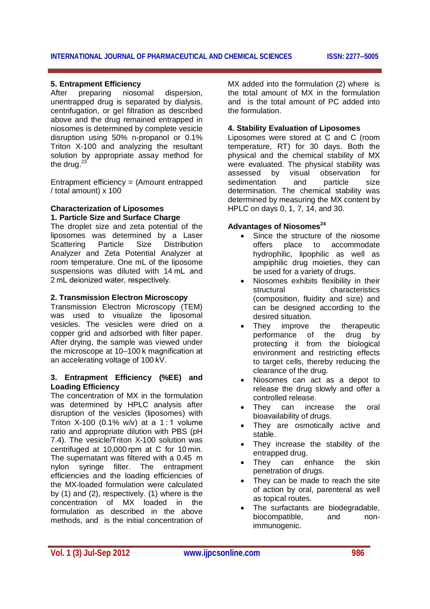#### **INTERNATIONAL JOURNAL OF PHARMACEUTICAL AND CHEMICAL SCIENCES ISSN: 22775005**

#### **5. Entrapment Efficiency**

After preparing niosomal dispersion, unentrapped drug is separated by dialysis, centrifugation, or gel filtration as described above and the drug remained entrapped in niosomes is determined by complete vesicle disruption using 50% n-propanol or 0.1% Triton X-100 and analyzing the resultant solution by appropriate assay method for the drug. $23$ 

Entrapment efficiency = (Amount entrapped / total amount) x 100

#### **Characterization of Liposomes 1. Particle Size and Surface Charge**

The droplet size and zeta potential of the liposomes was determined by a Laser Scattering Particle Size Distribution Analyzer and Zeta Potential Analyzer at room temperature. One mL of the liposome suspensions was diluted with 14 mL and 2 mL deionized water, respectively.

#### **2. Transmission Electron Microscopy**

Transmission Electron Microscopy (TEM) was used to visualize the liposomal vesicles. The vesicles were dried on a copper grid and adsorbed with filter paper. After drying, the sample was viewed under the microscope at 10–100 k magnification at an accelerating voltage of 100 kV.

#### **3. Entrapment Efficiency (%EE) and Loading Efficiency**

The concentration of MX in the formulation was determined by HPLC analysis after disruption of the vesicles (liposomes) with Triton X-100 (0.1% w/v) at a 1 : 1 volume ratio and appropriate dilution with PBS (pH 7.4). The vesicle/Triton X-100 solution was centrifuged at 10,000 rpm at C for 10 min. The supernatant was filtered with a 0.45  m nylon syringe filter. The entrapment efficiencies and the loading efficiencies of the MX-loaded formulation were calculated by (1) and (2), respectively. (1) where is the concentration of MX loaded in the formulation as described in the above methods, and is the initial concentration of

MX added into the formulation (2) where is the total amount of MX in the formulation and is the total amount of PC added into the formulation.

#### **4. Stability Evaluation of Liposomes**

Liposomes were stored at C and C (room temperature, RT) for 30 days. Both the physical and the chemical stability of MX were evaluated. The physical stability was assessed by visual observation for sedimentation and particle size determination. The chemical stability was determined by measuring the MX content by HPLC on days 0, 1, 7, 14, and 30.

#### **Advantages of Niosomes<sup>24</sup>**

- Since the structure of the niosome offers place to accommodate hydrophilic, lipophilic as well as ampiphilic drug moieties, they can be used for a variety of drugs.
- Niosomes exhibits flexibility in their structural characteristics (composition, fluidity and size) and can be designed according to the desired situation.
- They improve the therapeutic performance of the drug by protecting it from the biological environment and restricting effects to target cells, thereby reducing the clearance of the drug.
- Niosomes can act as a depot to release the drug slowly and offer a controlled release.
- They can increase the oral bioavailability of drugs.
- They are osmotically active and stable.
- They increase the stability of the entrapped drug.
- They can enhance the skin penetration of drugs.
- They can be made to reach the site of action by oral, parenteral as well as topical routes.
- The surfactants are biodegradable, biocompatible, and nonimmunogenic.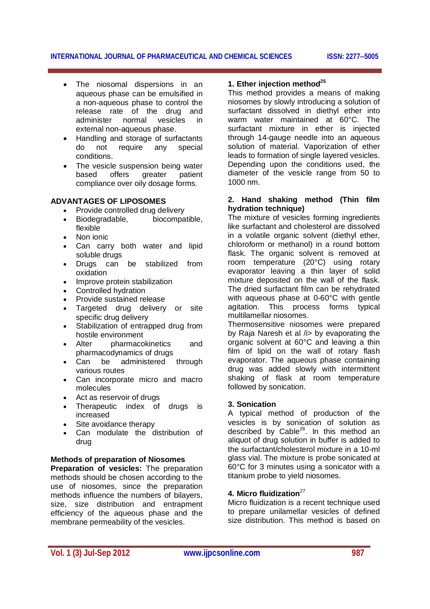#### **INTERNATIONAL JOURNAL OF PHARMACEUTICAL AND CHEMICAL SCIENCES ISSN: 22775005**

- The niosomal dispersions in an aqueous phase can be emulsified in a non-aqueous phase to control the release rate of the drug and administer normal vesicles in external non-aqueous phase.
- Handling and storage of surfactants do not require any special conditions.
- The vesicle suspension being water based offers greater patient compliance over oily dosage forms.

#### **ADVANTAGES OF LIPOSOMES**

- Provide controlled drug delivery
- Biodegradable, biocompatible, flexible
- Non ionic
- Can carry both water and lipid soluble drugs
- Drugs can be stabilized from oxidation
- Improve protein stabilization
- Controlled hydration
- Provide sustained release
- Targeted drug delivery or site specific drug delivery
- Stabilization of entrapped drug from hostile environment
- Alter pharmacokinetics and pharmacodynamics of drugs
- Can be administered through various routes
- Can incorporate micro and macro molecules
- Act as reservoir of drugs
- Therapeutic index of drugs is increased
- Site avoidance therapy
- Can modulate the distribution of drug

#### **Methods of preparation of Niosomes**

**Preparation of vesicles:** The preparation methods should be chosen according to the use of niosomes, since the preparation methods influence the numbers of bilayers, size, size distribution and entrapment efficiency of the aqueous phase and the membrane permeability of the vesicles.

## **1. Ether injection method<sup>25</sup>**

This method provides a means of making niosomes by slowly introducing a solution of surfactant dissolved in diethyl ether into warm water maintained at 60°C. The surfactant mixture in ether is injected through 14-gauge needle into an aqueous solution of material. Vaporization of ether leads to formation of single layered vesicles. Depending upon the conditions used, the diameter of the vesicle range from 50 to 1000 nm.

#### **2. Hand shaking method (Thin film hydration technique)**

The mixture of vesicles forming ingredients like surfactant and cholesterol are dissolved in a volatile organic solvent (diethyl ether, chloroform or methanol) in a round bottom flask. The organic solvent is removed at room temperature (20°C) using rotary evaporator leaving a thin layer of solid mixture deposited on the wall of the flask. The dried surfactant film can be rehydrated with aqueous phase at 0-60°C with gentle agitation. This process forms typical multilamellar niosomes.

Thermosensitive niosomes were prepared by Raja Naresh et al /i> by evaporating the organic solvent at 60°C and leaving a thin film of lipid on the wall of rotary flash evaporator. The aqueous phase containing drug was added slowly with intermittent shaking of flask at room temperature followed by sonication.

#### **3. Sonication**

A typical method of production of the vesicles is by sonication of solution as described by Cable<sup>26</sup>. In this method an aliquot of drug solution in buffer is added to the surfactant/cholesterol mixture in a 10-ml glass vial. The mixture is probe sonicated at 60°C for 3 minutes using a sonicator with a titanium probe to yield niosomes.

#### **4. Micro fluidization**<sup>27</sup>

Micro fluidization is a recent technique used to prepare unilamellar vesicles of defined size distribution. This method is based on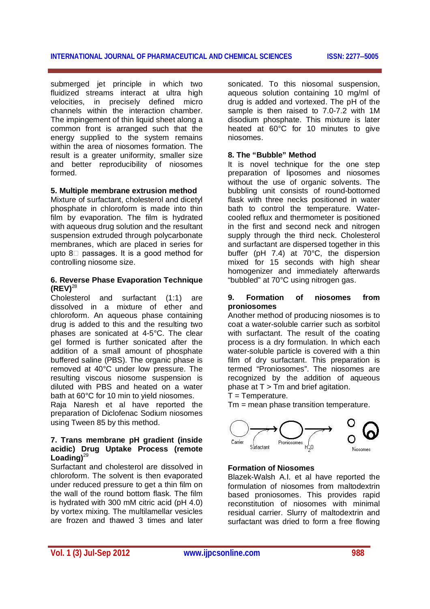submerged jet principle in which two fluidized streams interact at ultra high velocities, in precisely defined micro channels within the interaction chamber. The impingement of thin liquid sheet along a common front is arranged such that the energy supplied to the system remains within the area of niosomes formation. The result is a greater uniformity, smaller size and better reproducibility of niosomes formed.

#### **5. Multiple membrane extrusion method**

Mixture of surfactant, cholesterol and dicetyl phosphate in chloroform is made into thin film by evaporation. The film is hydrated with aqueous drug solution and the resultant suspension extruded through polycarbonate membranes, which are placed in series for upto  $8\Box$  passages. It is a good method for controlling niosome size.

#### **6. Reverse Phase Evaporation Technique (REV)**<sup>28</sup>

Cholesterol and surfactant (1:1) are dissolved in a mixture of ether and chloroform. An aqueous phase containing drug is added to this and the resulting two phases are sonicated at 4-5°C. The clear gel formed is further sonicated after the addition of a small amount of phosphate buffered saline (PBS). The organic phase is removed at 40°C under low pressure. The resulting viscous niosome suspension is diluted with PBS and heated on a water bath at 60°C for 10 min to yield niosomes.

Raja Naresh et al have reported the preparation of Diclofenac Sodium niosomes using Tween 85 by this method.

#### **7. Trans membrane pH gradient (inside acidic) Drug Uptake Process (remote Loading)**<sup>29</sup>

Surfactant and cholesterol are dissolved in chloroform. The solvent is then evaporated under reduced pressure to get a thin film on the wall of the round bottom flask. The film is hydrated with 300 mM citric acid (pH 4.0) by vortex mixing. The multilamellar vesicles are frozen and thawed 3 times and later

sonicated. To this niosomal suspension, aqueous solution containing 10 mg/ml of drug is added and vortexed. The pH of the sample is then raised to 7.0-7.2 with 1M disodium phosphate. This mixture is later heated at 60°C for 10 minutes to give niosomes.

#### **8. The "Bubble" Method**

It is novel technique for the one step preparation of liposomes and niosomes without the use of organic solvents. The bubbling unit consists of round-bottomed flask with three necks positioned in water bath to control the temperature. Watercooled reflux and thermometer is positioned in the first and second neck and nitrogen supply through the third neck. Cholesterol and surfactant are dispersed together in this buffer (pH 7.4) at 70°C, the dispersion mixed for 15 seconds with high shear homogenizer and immediately afterwards "bubbled" at 70°C using nitrogen gas.

#### **9. Formation of niosomes from proniosomes**

Another method of producing niosomes is to coat a water-soluble carrier such as sorbitol with surfactant. The result of the coating process is a dry formulation. In which each water-soluble particle is covered with a thin film of dry surfactant. This preparation is termed "Proniosomes". The niosomes are recognized by the addition of aqueous phase at  $T > Tm$  and brief agitation.

 $T =$ Temperature.

Tm = mean phase transition temperature.



#### **Formation of Niosomes**

Blazek-Walsh A.I. et al have reported the formulation of niosomes from maltodextrin based proniosomes. This provides rapid reconstitution of niosomes with minimal residual carrier. Slurry of maltodextrin and surfactant was dried to form a free flowing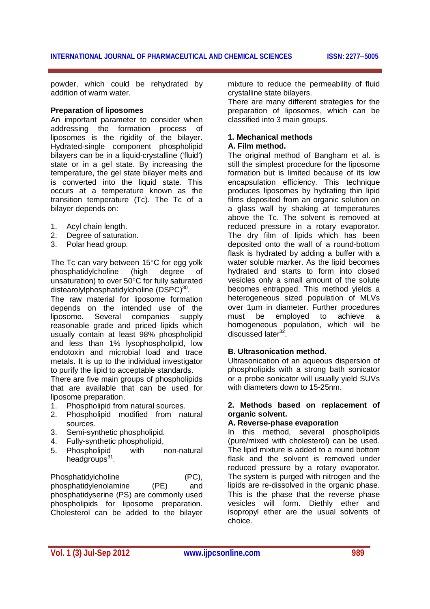powder, which could be rehydrated by addition of warm water.

#### **Preparation of liposomes**

An important parameter to consider when addressing the formation process of liposomes is the rigidity of the bilayer. Hydrated-single component phospholipid bilayers can be in a liquid-crystalline ('fluid') state or in a gel state. By increasing the temperature, the gel state bilayer melts and is converted into the liquid state. This occurs at a temperature known as the transition temperature (Tc). The Tc of a bilayer depends on:

- 1. Acyl chain length.
- 2. Degree of saturation.
- 3. Polar head group.

The Tc can vary between  $15^{\circ}$ C for egg yolk phosphatidylcholine (high degree of unsaturation) to over 50°C for fully saturated distearolylphosphatidylcholine  $(DSPC)^{30}$ .

The raw material for liposome formation depends on the intended use of the liposome. Several companies supply reasonable grade and priced lipids which usually contain at least 98% phospholipid and less than 1% lysophospholipid, low endotoxin and microbial load and trace metals. It is up to the individual investigator to purify the lipid to acceptable standards.

There are five main groups of phospholipids that are available that can be used for liposome preparation.

- 1. Phospholipid from natural sources.
- 2. Phospholipid modified from natural sources.
- 3. Semi-synthetic phospholipid.
- 4. Fully-synthetic phospholipid,
- 5. Phospholipid with non-natural headgroups<sup>31</sup>.

Phosphatidylcholine (PC), phosphatidylenolamine (PE) and phosphatidyserine (PS) are commonly used phospholipids for liposome preparation. Cholesterol can be added to the bilayer

mixture to reduce the permeability of fluid crystalline state bilayers.

There are many different strategies for the preparation of liposomes, which can be classified into 3 main groups.

# **1. Mechanical methods**

## **A. Film method.**

The original method of Bangham et al. is still the simplest procedure for the liposome formation but is limited because of its low encapsulation efficiency. This technique produces liposomes by hydrating thin lipid films deposited from an organic solution on a glass wall by shaking at temperatures above the Tc. The solvent is removed at reduced pressure in a rotary evaporator. The dry film of lipids which has been deposited onto the wall of a round-bottom flask is hydrated by adding a buffer with a water soluble marker. As the lipid becomes hydrated and starts to form into closed vesicles only a small amount of the solute becomes entrapped. This method yields a heterogeneous sized population of MLVs over 1um in diameter. Further procedures must be employed to achieve a homogeneous population, which will be discussed later<sup>3</sup> .

#### **B. Ultrasonication method.**

Ultrasonication of an aqueous dispersion of phospholipids with a strong bath sonicator or a probe sonicator will usually yield SUVs with diameters down to 15-25nm.

#### **2. Methods based on replacement of organic solvent.**

#### **A. Reverse-phase evaporation**

In this method, several phospholipids (pure/mixed with cholesterol) can be used. The lipid mixture is added to a round bottom flask and the solvent is removed under reduced pressure by a rotary evaporator. The system is purged with nitrogen and the lipids are re-dissolved in the organic phase. This is the phase that the reverse phase vesicles will form. Diethly ether and isopropyl ether are the usual solvents of choice.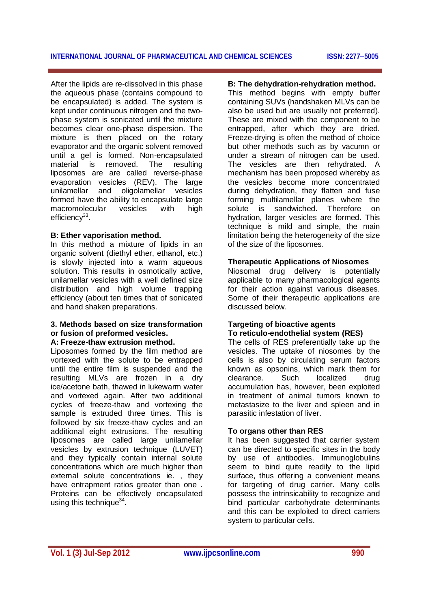After the lipids are re-dissolved in this phase the aqueous phase (contains compound to be encapsulated) is added. The system is kept under continuous nitrogen and the twophase system is sonicated until the mixture becomes clear one-phase dispersion. The mixture is then placed on the rotary evaporator and the organic solvent removed until a gel is formed. Non-encapsulated material is removed. The resulting liposomes are are called reverse-phase evaporation vesicles (REV). The large unilamellar and oligolamellar vesicles formed have the ability to encapsulate large macromolecular vesicles with high efficiency<sup>33</sup>.

#### **B: Ether vaporisation method.**

In this method a mixture of lipids in an organic solvent (diethyl ether, ethanol, etc.) is slowly injected into a warm aqueous solution. This results in osmotically active, unilamellar vesicles with a well defined size distribution and high volume trapping efficiency (about ten times that of sonicated and hand shaken preparations.

#### **3. Methods based on size transformation or fusion of preformed vesicles.**

## **A: Freeze-thaw extrusion method.**

Liposomes formed by the film method are vortexed with the solute to be entrapped until the entire film is suspended and the resulting MLVs are frozen in a dry ice/acetone bath, thawed in lukewarm water and vortexed again. After two additional cycles of freeze-thaw and vortexing the sample is extruded three times. This is followed by six freeze-thaw cycles and an additional eight extrusions. The resulting liposomes are called large unilamellar vesicles by extrusion technique (LUVET) and they typically contain internal solute concentrations which are much higher than external solute concentrations ie. , they have entrapment ratios greater than one . Proteins can be effectively encapsulated using this technique<sup>34</sup>.

#### **B: The dehydration-rehydration method.**

This method begins with empty buffer containing SUVs (handshaken MLVs can be also be used but are usually not preferred). These are mixed with the component to be entrapped, after which they are dried. Freeze-drying is often the method of choice but other methods such as by vacumn or under a stream of nitrogen can be used. The vesicles are then rehydrated. A mechanism has been proposed whereby as the vesicles become more concentrated during dehydration, they flatten and fuse forming multilamellar planes where the solute is sandwiched. Therefore on hydration, larger vesicles are formed. This technique is mild and simple, the main limitation being the heterogeneity of the size of the size of the liposomes.

#### **Therapeutic Applications of Niosomes**

Niosomal drug delivery is potentially applicable to many pharmacological agents for their action against various diseases. Some of their therapeutic applications are discussed below.

#### **Targeting of bioactive agents To reticulo-endothelial system (RES)**

The cells of RES preferentially take up the vesicles. The uptake of niosomes by the cells is also by circulating serum factors known as opsonins, which mark them for clearance. Such localized drug accumulation has, however, been exploited in treatment of animal tumors known to metastasize to the liver and spleen and in parasitic infestation of liver.

#### **To organs other than RES**

It has been suggested that carrier system can be directed to specific sites in the body by use of antibodies. Immunoglobulins seem to bind quite readily to the lipid surface, thus offering a convenient means for targeting of drug carrier. Many cells possess the intrinsicability to recognize and bind particular carbohydrate determinants and this can be exploited to direct carriers system to particular cells.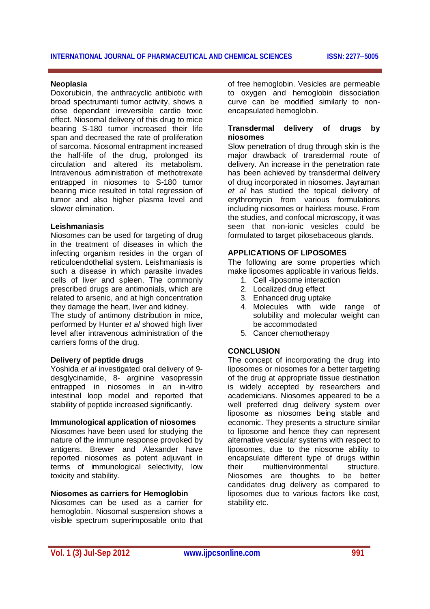#### **Neoplasia**

Doxorubicin, the anthracyclic antibiotic with broad spectrumanti tumor activity, shows a dose dependant irreversible cardio toxic effect. Niosomal delivery of this drug to mice bearing S-180 tumor increased their life span and decreased the rate of proliferation of sarcoma. Niosomal entrapment increased the half-life of the drug, prolonged its circulation and altered its metabolism. Intravenous administration of methotrexate entrapped in niosomes to S-180 tumor bearing mice resulted in total regression of tumor and also higher plasma level and slower elimination.

#### **Leishmaniasis**

Niosomes can be used for targeting of drug in the treatment of diseases in which the infecting organism resides in the organ of reticuloendothelial system. Leishmaniasis is such a disease in which parasite invades cells of liver and spleen. The commonly prescribed drugs are antimonials, which are related to arsenic, and at high concentration they damage the heart, liver and kidney. The study of antimony distribution in mice,

performed by Hunter *et al* showed high liver level after intravenous administration of the carriers forms of the drug.

#### **Delivery of peptide drugs**

Yoshida *et al* investigated oral delivery of 9 desglycinamide, 8- arginine vasopressin entrapped in niosomes in an in-vitro intestinal loop model and reported that stability of peptide increased significantly.

#### **Immunological application of niosomes**

Niosomes have been used for studying the nature of the immune response provoked by antigens. Brewer and Alexander have reported niosomes as potent adjuvant in terms of immunological selectivity, low toxicity and stability.

#### **Niosomes as carriers for Hemoglobin**

Niosomes can be used as a carrier for hemoglobin. Niosomal suspension shows a visible spectrum superimposable onto that of free hemoglobin. Vesicles are permeable to oxygen and hemoglobin dissociation curve can be modified similarly to nonencapsulated hemoglobin.

#### **Transdermal delivery of drugs by niosomes**

Slow penetration of drug through skin is the major drawback of transdermal route of delivery. An increase in the penetration rate has been achieved by transdermal delivery of drug incorporated in niosomes. Jayraman *et al* has studied the topical delivery of erythromycin from various formulations including niosomes or hairless mouse. From the studies, and confocal microscopy, it was seen that non-ionic vesicles could be formulated to target pilosebaceous glands.

#### **APPLICATIONS OF LIPOSOMES**

The following are some properties which make liposomes applicable in various fields.

- 1. Cell -liposome interaction
- 2. Localized drug effect
- 3. Enhanced drug uptake
- 4. Molecules with wide range of solubility and molecular weight can be accommodated
- 5. Cancer chemotherapy

#### **CONCLUSION**

The concept of incorporating the drug into liposomes or niosomes for a better targeting of the drug at appropriate tissue destination is widely accepted by researchers and academicians. Niosomes appeared to be a well preferred drug delivery system over liposome as niosomes being stable and economic. They presents a structure similar to liposome and hence they can represent alternative vesicular systems with respect to liposomes, due to the niosome ability to encapsulate different type of drugs within their multienvironmental structure. Niosomes are thoughts to be better candidates drug delivery as compared to liposomes due to various factors like cost, stability etc.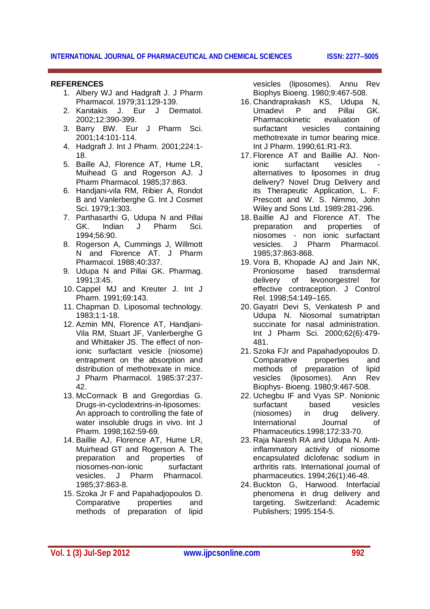#### **REFERENCES**

- 1. Albery WJ and Hadgraft J. J Pharm Pharmacol. 1979;31:129-139.
- 2. Kanitakis J. Eur J Dermatol. 2002;12:390-399.
- 3. Barry BW. Eur J Pharm Sci. 2001;14:101-114.
- 4. Hadgraft J. Int J Pharm. 2001;224:1- 18.
- 5. Baille AJ, Florence AT, Hume LR, Muihead G and Rogerson AJ. J Pharm Pharmacol. 1985;37:863.
- 6. Handjani-vila RM, Ribier A, Rondot B and Vanlerberghe G. Int J Cosmet Sci. 1979;1:303.
- 7. Parthasarthi G, Udupa N and Pillai GK. Indian J Pharm Sci. 1994;56:90.
- 8. Rogerson A, Cummings J, Willmott N and Florence AT. J Pharm Pharmacol. 1988;40:337.
- 9. Udupa N and Pillai GK. Pharmag. 1991;3:45.
- 10. Cappel MJ and Kreuter J. Int J Pharm. 1991;69:143.
- 11. Chapman D. Liposomal technology. 1983;1:1-18.
- 12. Azmin MN, Florence AT, Handjani-Vila RM, Stuart JF, Vanlerberghe G and Whittaker JS. The effect of nonionic surfactant vesicle (niosome) entrapment on the absorption and distribution of methotrexate in mice. J Pharm Pharmacol. 1985:37:237- 42.
- 13. McCormack B and Gregordias G. Drugs-in-cyclodextrins-in-liposomes: An approach to controlling the fate of water insoluble drugs in vivo. Int J Pharm. 1998;162:59-69.
- 14. Baillie AJ, Florence AT, Hume LR, Muirhead GT and Rogerson A. The preparation and properties of niosomes-non-ionic surfactant vesicles. J Pharm Pharmacol. 1985;37:863-8.
- 15. Szoka Jr F and Papahadjopoulos D. Comparative properties and methods of preparation of lipid

vesicles (liposomes). Annu Rev Biophys Bioeng. 1980;9:467-508.

- 16. Chandraprakash KS, Udupa N,<br>Umadevi P and Pillai GK. Umadevi P and Pillai GK. Pharmacokinetic evaluation of surfactant vesicles containing methotrexate in tumor bearing mice. Int J Pharm. 1990;61:R1-R3.
- 17. Florence AT and Baillie AJ. Nonionic surfactant vesicles alternatives to liposomes in drug delivery? Novel Drug Delivery and its Therapeutic Application, L. F. Prescott and W. S. Nimmo, John Wiley and Sons Ltd. 1989:281-296.
- 18. Baillie AJ and Florence AT. The preparation and properties of niosomes - non ionic surfactant vesicles. J Pharm Pharmacol. 1985;37:863-868.
- 19. Vora B, Khopade AJ and Jain NK, Proniosome based transdermal delivery of levonorgestrel for effective contraception. J Control Rel. 1998;54:149–165.
- 20. Gayatri Devi S, Venkatesh P and Udupa N. Niosomal sumatriptan succinate for nasal administration. Int J Pharm Sci. 2000;62(6):479- 481.
- 21. Szoka FJr and Papahadyopoulos D. Comparative properties and methods of preparation of lipid vesicles (liposomes). Ann Rev Biophys- Bioeng. 1980;9:467-508.
- 22. Uchegbu IF and Vyas SP. Nonionic surfactant based vesicles (niosomes) in drug delivery. International Journal of Pharmaceutics.1998;172:33-70.
- 23. Raja Naresh RA and Udupa N. Antiinflammatory activity of niosome encapsulated diclofenac sodium in arthritis rats. International journal of pharmaceutics. 1994;26(1):46-48.
- 24. Buckton G, Harwood. Interfacial phenomena in drug delivery and targeting. Switzerland: Academic Publishers; 1995:154-5.